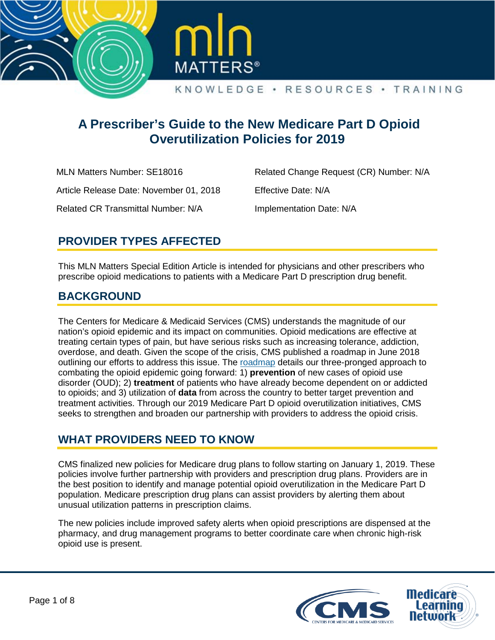



# **A Prescriber's Guide to the New Medicare Part D Opioid Overutilization Policies for 2019**

 MLN Matters Number: SE18016 Article Release Date: November 01, 2018 Related Change Request (CR) Number: N/A

Effective Date: N/A

 Related CR Transmittal Number: N/A Implementation Date: N/A

## **PROVIDER TYPES AFFECTED**

This MLN Matters Special Edition Article is intended for physicians and other prescribers who prescribe opioid medications to patients with a Medicare Part D prescription drug benefit.

### **BACKGROUND**

The Centers for Medicare & Medicaid Services (CMS) understands the magnitude of our nation's opioid epidemic and its impact on communities. Opioid medications are effective at treating certain types of pain, but have serious risks such as increasing tolerance, addiction, overdose, and death. Given the scope of the crisis, CMS published a roadmap in June 2018 outlining our efforts to address this issue. The [roadmap](https://www.cms.gov/About-CMS/Agency-Information/Emergency/Downloads/Opioid-epidemic-roadmap.pdf) details our three-pronged approach to combating the opioid epidemic going forward: 1) **prevention** of new cases of opioid use disorder (OUD); 2) **treatment** of patients who have already become dependent on or addicted to opioids; and 3) utilization of **data** from across the country to better target prevention and treatment activities. Through our 2019 Medicare Part D opioid overutilization initiatives, CMS seeks to strengthen and broaden our partnership with providers to address the opioid crisis.

### **WHAT PROVIDERS NEED TO KNOW**

CMS finalized new policies for Medicare drug plans to follow starting on January 1, 2019. These policies involve further partnership with providers and prescription drug plans. Providers are in the best position to identify and manage potential opioid overutilization in the Medicare Part D population. Medicare prescription drug plans can assist providers by alerting them about unusual utilization patterns in prescription claims.

The new policies include improved safety alerts when opioid prescriptions are dispensed at the pharmacy, and drug management programs to better coordinate care when chronic high-risk opioid use is present.

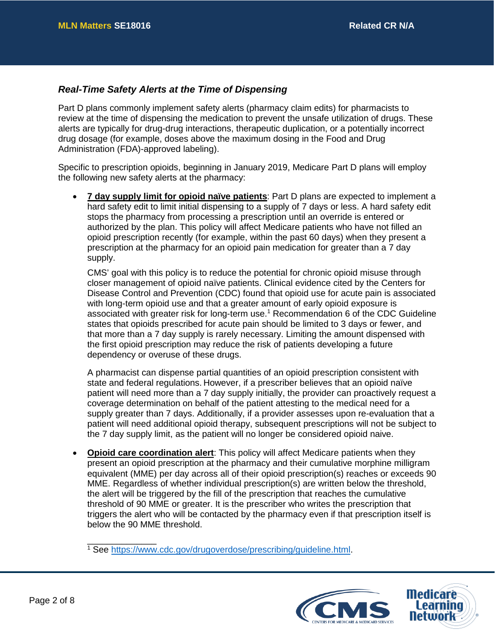### *Real-Time Safety Alerts at the Time of Dispensing*

Part D plans commonly implement safety alerts (pharmacy claim edits) for pharmacists to review at the time of dispensing the medication to prevent the unsafe utilization of drugs. These alerts are typically for drug-drug interactions, therapeutic duplication, or a potentially incorrect drug dosage (for example, doses above the maximum dosing in the Food and Drug Administration (FDA)-approved labeling).

Specific to prescription opioids, beginning in January 2019, Medicare Part D plans will employ the following new safety alerts at the pharmacy:

• **7 day supply limit for opioid naïve patients**: Part D plans are expected to implement a hard safety edit to limit initial dispensing to a supply of 7 days or less. A hard safety edit stops the pharmacy from processing a prescription until an override is entered or authorized by the plan. This policy will affect Medicare patients who have not filled an opioid prescription recently (for example, within the past 60 days) when they present a prescription at the pharmacy for an opioid pain medication for greater than a 7 day supply.

CMS' goal with this policy is to reduce the potential for chronic opioid misuse through closer management of opioid naïve patients. Clinical evidence cited by the Centers for Disease Control and Prevention (CDC) found that opioid use for acute pain is associated with long-term opioid use and that a greater amount of early opioid exposure is associated with greater risk for long-term use.1 Recommendation 6 of the CDC Guideline states that opioids prescribed for acute pain should be limited to 3 days or fewer, and that more than a 7 day supply is rarely necessary. Limiting the amount dispensed with the first opioid prescription may reduce the risk of patients developing a future dependency or overuse of these drugs.

A pharmacist can dispense partial quantities of an opioid prescription consistent with state and federal regulations. However, if a prescriber believes that an opioid naïve patient will need more than a 7 day supply initially, the provider can proactively request a coverage determination on behalf of the patient attesting to the medical need for a supply greater than 7 days. Additionally, if a provider assesses upon re-evaluation that a patient will need additional opioid therapy, subsequent prescriptions will not be subject to the 7 day supply limit, as the patient will no longer be considered opioid naive.

• **Opioid care coordination alert**: This policy will affect Medicare patients when they present an opioid prescription at the pharmacy and their cumulative morphine milligram equivalent (MME) per day across all of their opioid prescription(s) reaches or exceeds 90 MME. Regardless of whether individual prescription(s) are written below the threshold, the alert will be triggered by the fill of the prescription that reaches the cumulative threshold of 90 MME or greater. It is the prescriber who writes the prescription that triggers the alert who will be contacted by the pharmacy even if that prescription itself is below the 90 MME threshold.

 $\overline{\phantom{a}}$  , where  $\overline{\phantom{a}}$ <sup>1</sup> See [https://www.cdc.gov/drugoverdose/prescribing/guideline.html.](https://www.cdc.gov/drugoverdose/prescribing/guideline.html)

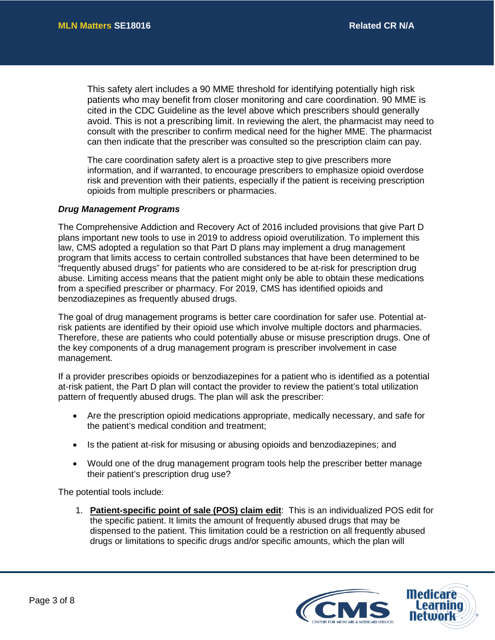This safety alert includes a 90 MME threshold for identifying potentially high risk patients who may benefit from closer monitoring and care coordination. 90 MME is cited in the CDC Guideline as the level above which prescribers should generally avoid. This is not a prescribing limit. In reviewing the alert, the pharmacist may need to consult with the prescriber to confirm medical need for the higher MME. The pharmacist can then indicate that the prescriber was consulted so the prescription claim can pay.

The care coordination safety alert is a proactive step to give prescribers more information, and if warranted, to encourage prescribers to emphasize opioid overdose risk and prevention with their patients, especially if the patient is receiving prescription opioids from multiple prescribers or pharmacies.

#### *Drug Management Programs*

The Comprehensive Addiction and Recovery Act of 2016 included provisions that give Part D plans important new tools to use in 2019 to address opioid overutilization. To implement this law, CMS adopted a regulation so that Part D plans may implement a drug management program that limits access to certain controlled substances that have been determined to be "frequently abused drugs" for patients who are considered to be at-risk for prescription drug abuse. Limiting access means that the patient might only be able to obtain these medications from a specified prescriber or pharmacy. For 2019, CMS has identified opioids and benzodiazepines as frequently abused drugs.

The goal of drug management programs is better care coordination for safer use. Potential atrisk patients are identified by their opioid use which involve multiple doctors and pharmacies. Therefore, these are patients who could potentially abuse or misuse prescription drugs. One of the key components of a drug management program is prescriber involvement in case management.

If a provider prescribes opioids or benzodiazepines for a patient who is identified as a potential at-risk patient, the Part D plan will contact the provider to review the patient's total utilization pattern of frequently abused drugs. The plan will ask the prescriber:

- Are the prescription opioid medications appropriate, medically necessary, and safe for the patient's medical condition and treatment;
- Is the patient at-risk for misusing or abusing opioids and benzodiazepines; and
- Would one of the drug management program tools help the prescriber better manage their patient's prescription drug use?

The potential tools include:

1. **Patient-specific point of sale (POS) claim edit**: This is an individualized POS edit for the specific patient. It limits the amount of frequently abused drugs that may be dispensed to the patient. This limitation could be a restriction on all frequently abused drugs or limitations to specific drugs and/or specific amounts, which the plan will

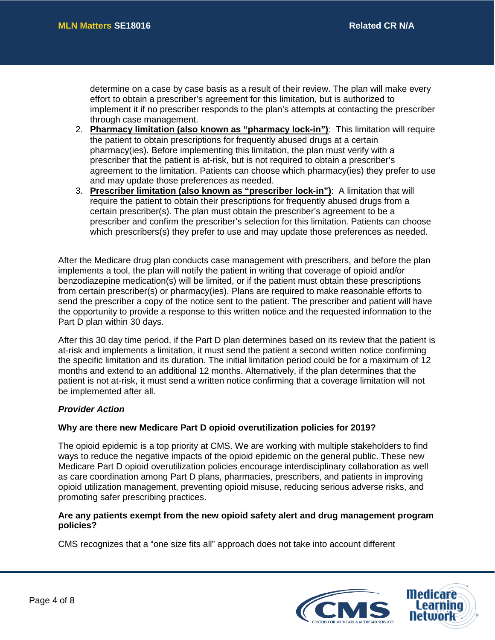determine on a case by case basis as a result of their review. The plan will make every effort to obtain a prescriber's agreement for this limitation, but is authorized to implement it if no prescriber responds to the plan's attempts at contacting the prescriber through case management.

- 2. **Pharmacy limitation (also known as "pharmacy lock-in")**: This limitation will require the patient to obtain prescriptions for frequently abused drugs at a certain pharmacy(ies). Before implementing this limitation, the plan must verify with a prescriber that the patient is at-risk, but is not required to obtain a prescriber's agreement to the limitation. Patients can choose which pharmacy(ies) they prefer to use and may update those preferences as needed.
- 3. **Prescriber limitation (also known as "prescriber lock-in")**: A limitation that will require the patient to obtain their prescriptions for frequently abused drugs from a certain prescriber(s). The plan must obtain the prescriber's agreement to be a prescriber and confirm the prescriber's selection for this limitation. Patients can choose which prescribers(s) they prefer to use and may update those preferences as needed.

After the Medicare drug plan conducts case management with prescribers, and before the plan implements a tool, the plan will notify the patient in writing that coverage of opioid and/or benzodiazepine medication(s) will be limited, or if the patient must obtain these prescriptions from certain prescriber(s) or pharmacy(ies). Plans are required to make reasonable efforts to send the prescriber a copy of the notice sent to the patient. The prescriber and patient will have the opportunity to provide a response to this written notice and the requested information to the Part D plan within 30 days.

After this 30 day time period, if the Part D plan determines based on its review that the patient is at-risk and implements a limitation, it must send the patient a second written notice confirming the specific limitation and its duration. The initial limitation period could be for a maximum of 12 months and extend to an additional 12 months. Alternatively, if the plan determines that the patient is not at-risk, it must send a written notice confirming that a coverage limitation will not be implemented after all.

#### *Provider Action*

#### **Why are there new Medicare Part D opioid overutilization policies for 2019?**

The opioid epidemic is a top priority at CMS. We are working with multiple stakeholders to find ways to reduce the negative impacts of the opioid epidemic on the general public. These new Medicare Part D opioid overutilization policies encourage interdisciplinary collaboration as well as care coordination among Part D plans, pharmacies, prescribers, and patients in improving opioid utilization management, preventing opioid misuse, reducing serious adverse risks, and promoting safer prescribing practices.

#### **Are any patients exempt from the new opioid safety alert and drug management program policies?**

CMS recognizes that a "one size fits all" approach does not take into account different

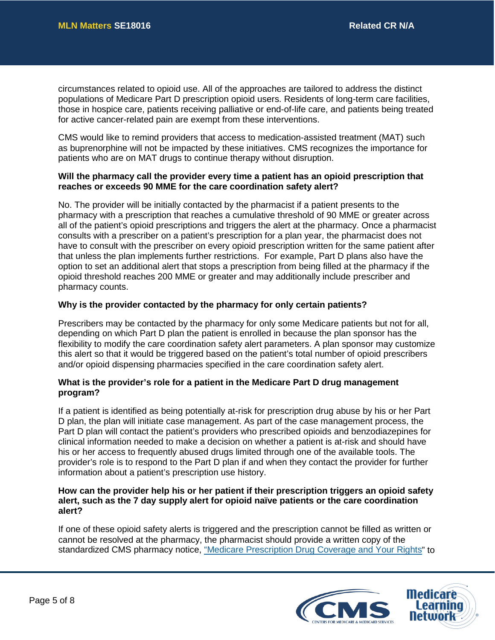circumstances related to opioid use. All of the approaches are tailored to address the distinct populations of Medicare Part D prescription opioid users. Residents of long-term care facilities, those in hospice care, patients receiving palliative or end-of-life care, and patients being treated for active cancer-related pain are exempt from these interventions.

CMS would like to remind providers that access to medication-assisted treatment (MAT) such as buprenorphine will not be impacted by these initiatives. CMS recognizes the importance for patients who are on MAT drugs to continue therapy without disruption.

#### **Will the pharmacy call the provider every time a patient has an opioid prescription that reaches or exceeds 90 MME for the care coordination safety alert?**

No. The provider will be initially contacted by the pharmacist if a patient presents to the pharmacy with a prescription that reaches a cumulative threshold of 90 MME or greater across all of the patient's opioid prescriptions and triggers the alert at the pharmacy. Once a pharmacist consults with a prescriber on a patient's prescription for a plan year, the pharmacist does not have to consult with the prescriber on every opioid prescription written for the same patient after that unless the plan implements further restrictions. For example, Part D plans also have the option to set an additional alert that stops a prescription from being filled at the pharmacy if the opioid threshold reaches 200 MME or greater and may additionally include prescriber and pharmacy counts.

#### **Why is the provider contacted by the pharmacy for only certain patients?**

Prescribers may be contacted by the pharmacy for only some Medicare patients but not for all, depending on which Part D plan the patient is enrolled in because the plan sponsor has the flexibility to modify the care coordination safety alert parameters. A plan sponsor may customize this alert so that it would be triggered based on the patient's total number of opioid prescribers and/or opioid dispensing pharmacies specified in the care coordination safety alert.

#### **What is the provider's role for a patient in the Medicare Part D drug management program?**

If a patient is identified as being potentially at-risk for prescription drug abuse by his or her Part D plan, the plan will initiate case management. As part of the case management process, the Part D plan will contact the patient's providers who prescribed opioids and benzodiazepines for clinical information needed to make a decision on whether a patient is at-risk and should have his or her access to frequently abused drugs limited through one of the available tools. The provider's role is to respond to the Part D plan if and when they contact the provider for further information about a patient's prescription use history.

#### **How can the provider help his or her patient if their prescription triggers an opioid safety alert, such as the 7 day supply alert for opioid naïve patients or the care coordination alert?**

If one of these opioid safety alerts is triggered and the prescription cannot be filled as written or cannot be resolved at the pharmacy, the pharmacist should provide a written copy of the standardized CMS pharmacy notice, ["Medicare Prescription Drug Coverage and Your Rights"](https://www.cms.gov/Outreach-and-Education/Outreach/Partnerships/downloads/yourrightsfactsheet.pdf) to

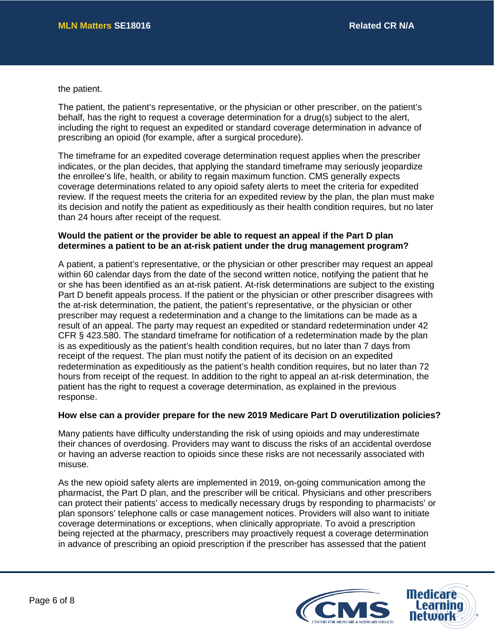#### the patient.

The patient, the patient's representative, or the physician or other prescriber, on the patient's behalf, has the right to request a coverage determination for a drug(s) subject to the alert, including the right to request an expedited or standard coverage determination in advance of prescribing an opioid (for example, after a surgical procedure).

The timeframe for an expedited coverage determination request applies when the prescriber indicates, or the plan decides, that applying the standard timeframe may seriously jeopardize the enrollee's life, health, or ability to regain maximum function. CMS generally expects coverage determinations related to any opioid safety alerts to meet the criteria for expedited review. If the request meets the criteria for an expedited review by the plan, the plan must make its decision and notify the patient as expeditiously as their health condition requires, but no later than 24 hours after receipt of the request.

#### **Would the patient or the provider be able to request an appeal if the Part D plan determines a patient to be an at-risk patient under the drug management program?**

A patient, a patient's representative, or the physician or other prescriber may request an appeal within 60 calendar days from the date of the second written notice, notifying the patient that he or she has been identified as an at-risk patient. At-risk determinations are subject to the existing Part D benefit appeals process. If the patient or the physician or other prescriber disagrees with the at-risk determination, the patient, the patient's representative, or the physician or other prescriber may request a redetermination and a change to the limitations can be made as a result of an appeal. The party may request an expedited or standard redetermination under 42 CFR § 423.580. The standard timeframe for notification of a redetermination made by the plan is as expeditiously as the patient's health condition requires, but no later than 7 days from receipt of the request. The plan must notify the patient of its decision on an expedited redetermination as expeditiously as the patient's health condition requires, but no later than 72 hours from receipt of the request. In addition to the right to appeal an at-risk determination, the patient has the right to request a coverage determination, as explained in the previous response.

#### **How else can a provider prepare for the new 2019 Medicare Part D overutilization policies?**

Many patients have difficulty understanding the risk of using opioids and may underestimate their chances of overdosing. Providers may want to discuss the risks of an accidental overdose or having an adverse reaction to opioids since these risks are not necessarily associated with misuse.

As the new opioid safety alerts are implemented in 2019, on-going communication among the pharmacist, the Part D plan, and the prescriber will be critical. Physicians and other prescribers can protect their patients' access to medically necessary drugs by responding to pharmacists' or plan sponsors' telephone calls or case management notices. Providers will also want to initiate coverage determinations or exceptions, when clinically appropriate. To avoid a prescription being rejected at the pharmacy, prescribers may proactively request a coverage determination in advance of prescribing an opioid prescription if the prescriber has assessed that the patient

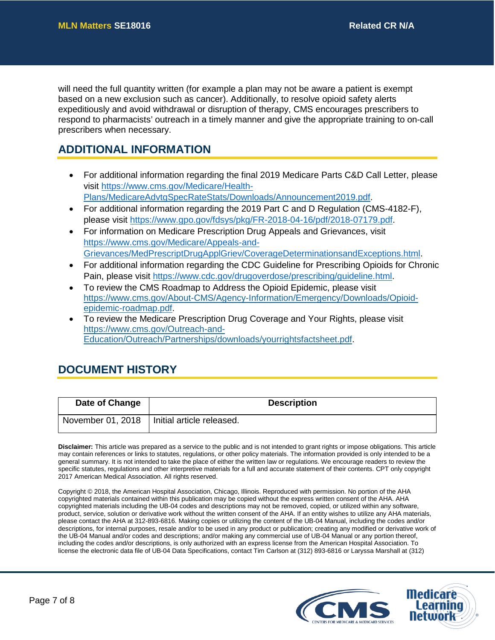will need the full quantity written (for example a plan may not be aware a patient is exempt based on a new exclusion such as cancer). Additionally, to resolve opioid safety alerts expeditiously and avoid withdrawal or disruption of therapy, CMS encourages prescribers to respond to pharmacists' outreach in a timely manner and give the appropriate training to on-call prescribers when necessary.

### **ADDITIONAL INFORMATION**

- For additional information regarding the final 2019 Medicare Parts C&D Call Letter, please visit [https://www.cms.gov/Medicare/Health-](https://www.cms.gov/Medicare/Health-Plans/MedicareAdvtgSpecRateStats/Downloads/Announcement2019.pdf)[Plans/MedicareAdvtgSpecRateStats/Downloads/Announcement2019.pdf.](https://www.cms.gov/Medicare/Health-Plans/MedicareAdvtgSpecRateStats/Downloads/Announcement2019.pdf)
- For additional information regarding the 2019 Part C and D Regulation (CMS-4182-F), please visit [https://www.gpo.gov/fdsys/pkg/FR-2018-04-16/pdf/2018-07179.pdf.](https://www.gpo.gov/fdsys/pkg/FR-2018-04-16/pdf/2018-07179.pdf)
- For information on Medicare Prescription Drug Appeals and Grievances, visit [https://www.cms.gov/Medicare/Appeals-and-](https://www.cms.gov/Medicare/Appeals-and-Grievances/MedPrescriptDrugApplGriev/CoverageDeterminationsandExceptions.html)[Grievances/MedPrescriptDrugApplGriev/CoverageDeterminationsandExceptions.html.](https://www.cms.gov/Medicare/Appeals-and-Grievances/MedPrescriptDrugApplGriev/CoverageDeterminationsandExceptions.html)
- For additional information regarding the CDC Guideline for Prescribing Opioids for Chronic Pain, please visit [https://www.cdc.gov/drugoverdose/prescribing/guideline.html.](https://www.cdc.gov/drugoverdose/prescribing/guideline.html)
- To review the CMS Roadmap to Address the Opioid Epidemic, please visit [https://www.cms.gov/About-CMS/Agency-Information/Emergency/Downloads/Opioid](https://www.cms.gov/About-CMS/Agency-Information/Emergency/Downloads/Opioid-epidemic-roadmap.pdf)[epidemic-roadmap.pdf.](https://www.cms.gov/About-CMS/Agency-Information/Emergency/Downloads/Opioid-epidemic-roadmap.pdf)
- To review the Medicare Prescription Drug Coverage and Your Rights, please visit [https://www.cms.gov/Outreach-and-](https://www.cms.gov/Outreach-and-Education/Outreach/Partnerships/downloads/yourrightsfactsheet.pdf)[Education/Outreach/Partnerships/downloads/yourrightsfactsheet.pdf.](https://www.cms.gov/Outreach-and-Education/Outreach/Partnerships/downloads/yourrightsfactsheet.pdf)

## **DOCUMENT HISTORY**

| Date of Change |                                               | <b>Description</b> |
|----------------|-----------------------------------------------|--------------------|
|                | November 01, 2018   Initial article released. |                    |

**Disclaimer:** This article was prepared as a service to the public and is not intended to grant rights or impose obligations. This article may contain references or links to statutes, regulations, or other policy materials. The information provided is only intended to be a general summary. It is not intended to take the place of either the written law or regulations. We encourage readers to review the specific statutes, regulations and other interpretive materials for a full and accurate statement of their contents. CPT only copyright 2017 American Medical Association. All rights reserved.

Copyright © 2018, the American Hospital Association, Chicago, Illinois. Reproduced with permission. No portion of the AHA copyrighted materials contained within this publication may be copied without the express written consent of the AHA. AHA copyrighted materials including the UB-04 codes and descriptions may not be removed, copied, or utilized within any software, product, service, solution or derivative work without the written consent of the AHA. If an entity wishes to utilize any AHA materials, please contact the AHA at 312-893-6816. Making copies or utilizing the content of the UB-04 Manual, including the codes and/or descriptions, for internal purposes, resale and/or to be used in any product or publication; creating any modified or derivative work of the UB-04 Manual and/or codes and descriptions; and/or making any commercial use of UB-04 Manual or any portion thereof, including the codes and/or descriptions, is only authorized with an express license from the American Hospital Association. To license the electronic data file of UB-04 Data Specifications, contact Tim Carlson at (312) 893-6816 or Laryssa Marshall at (312)